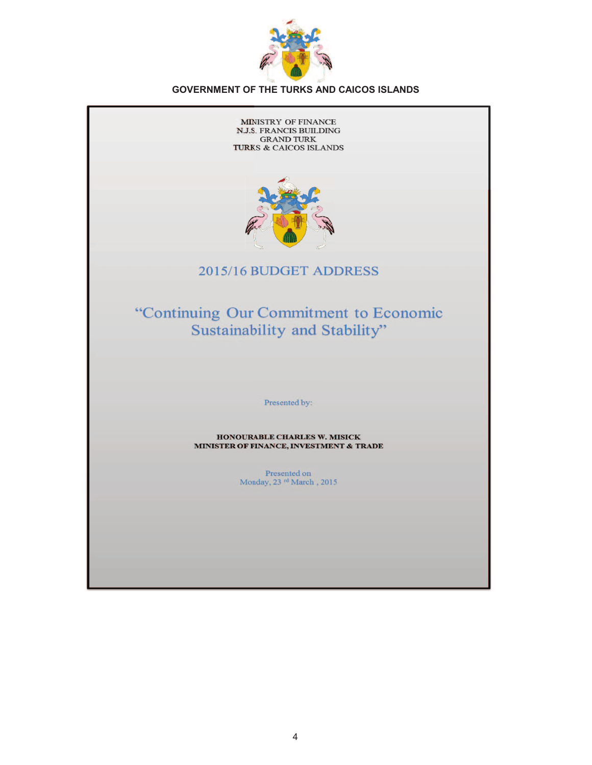

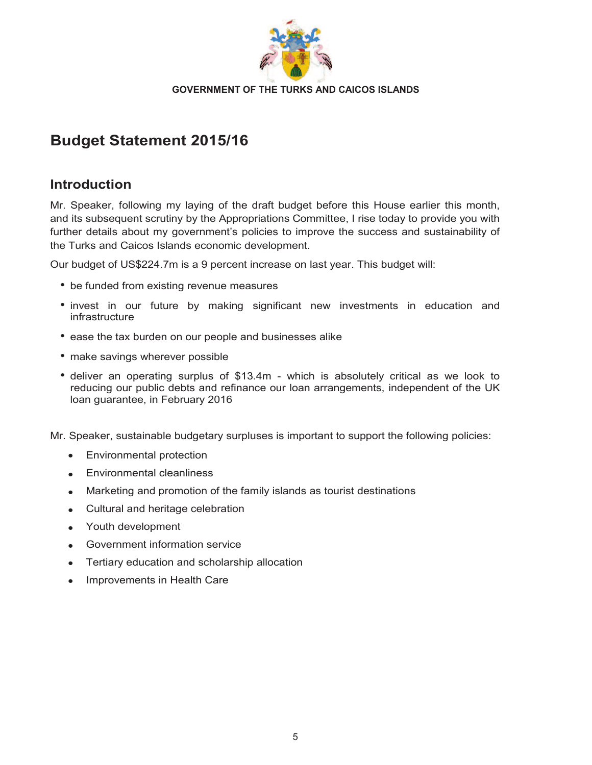

# **Budget Statement 2015/16**

# **Introduction**

Mr. Speaker, following my laying of the draft budget before this House earlier this month, and its subsequent scrutiny by the Appropriations Committee, I rise today to provide you with further details about my government's policies to improve the success and sustainability of the Turks and Caicos Islands economic development.

Our budget of US\$224.7m is a 9 percent increase on last year. This budget will:

- be funded from existing revenue measures
- invest in our future by making significant new investments in education and infrastructure
- ease the tax burden on our people and businesses alike
- make savings wherever possible
- deliver an operating surplus of \$13.4m which is absolutely critical as we look to reducing our public debts and refinance our loan arrangements, independent of the UK loan guarantee, in February 2016

Mr. Speaker, sustainable budgetary surpluses is important to support the following policies:

- · Environmental protection
- ·Environmental cleanliness
- ·Marketing and promotion of the family islands as tourist destinations
- ·Cultural and heritage celebration
- ·Youth development
- ·Government information service
- ·Tertiary education and scholarship allocation
- ·Improvements in Health Care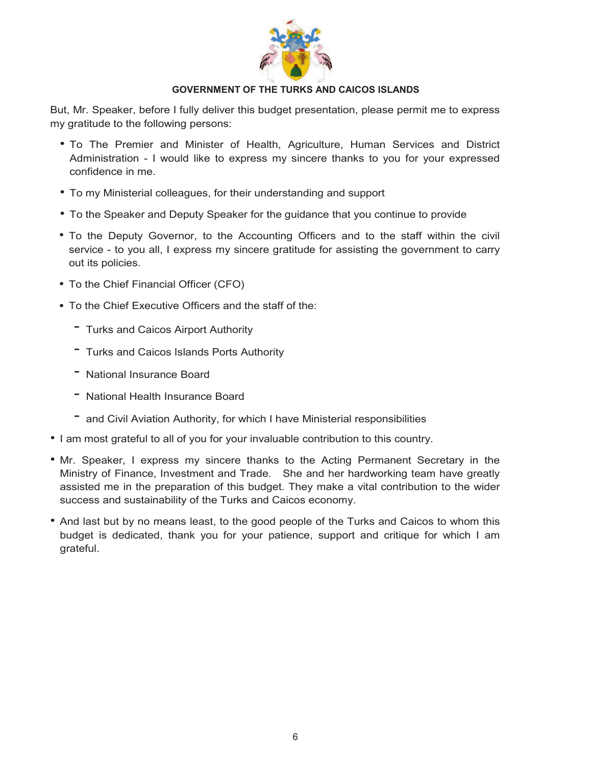

But, Mr. Speaker, before I fully deliver this budget presentation, please permit me to express my gratitude to the following persons:

- To The Premier and Minister of Health, Agriculture, Human Services and District Administration - I would like to express my sincere thanks to you for your expressed confidence in me.
- To my Ministerial colleagues, for their understanding and support
- To the Speaker and Deputy Speaker for the guidance that you continue to provide
- To the Deputy Governor, to the Accounting Officers and to the staff within the civil service - to you all, I express my sincere gratitude for assisting the government to carry out its policies.
- To the Chief Financial Officer (CFO)
- To the Chief Executive Officers and the staff of the:
	- Turks and Caicos Airport Authority
	- Turks and Caicos Islands Ports Authority
	- National Insurance Board
	- National Health Insurance Board
	- and Civil Aviation Authority, for which I have Ministerial responsibilities
- I am most grateful to all of you for your invaluable contribution to this country.
- Mr. Speaker, I express my sincere thanks to the Acting Permanent Secretary in the Ministry of Finance, Investment and Trade. She and her hardworking team have greatly assisted me in the preparation of this budget. They make a vital contribution to the wider success and sustainability of the Turks and Caicos economy.
- And last but by no means least, to the good people of the Turks and Caicos to whom this budget is dedicated, thank you for your patience, support and critique for which I am grateful.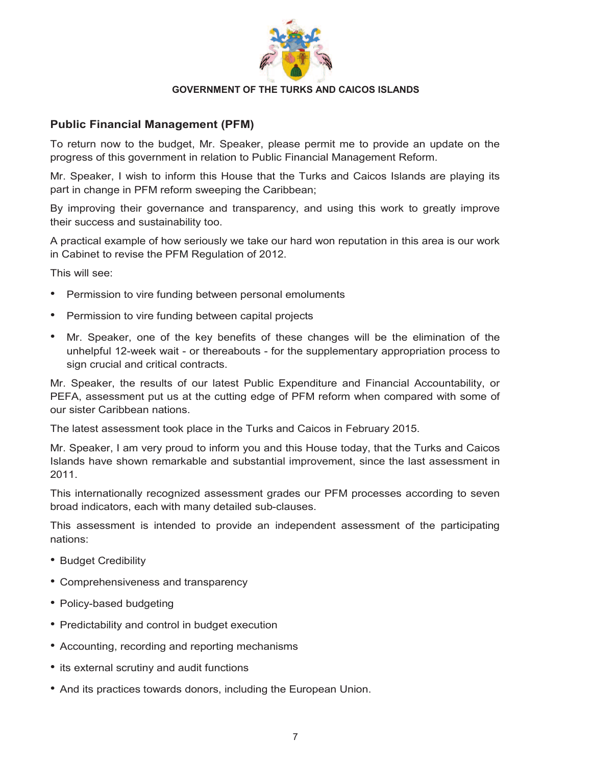

# **Public Financial Management (PFM)**

To return now to the budget, Mr. Speaker, please permit me to provide an update on the progress of this government in relation to Public Financial Management Reform.

Mr. Speaker, I wish to inform this House that the Turks and Caicos Islands are playing its part in change in PFM reform sweeping the Caribbean;

By improving their governance and transparency, and using this work to greatly improve their success and sustainability too.

A practical example of how seriously we take our hard won reputation in this area is our work in Cabinet to revise the PFM Regulation of 2012.

This will see:

- •Permission to vire funding between personal emoluments
- •Permission to vire funding between capital projects
- Mr. Speaker, one of the key benefits of these changes will be the elimination of the unhelpful 12-week wait - or thereabouts - for the supplementary appropriation process to sign crucial and critical contracts.

Mr. Speaker, the results of our latest Public Expenditure and Financial Accountability, or PEFA, assessment put us at the cutting edge of PFM reform when compared with some of our sister Caribbean nations.

The latest assessment took place in the Turks and Caicos in February 2015.

Mr. Speaker, I am very proud to inform you and this House today, that the Turks and Caicos Islands have shown remarkable and substantial improvement, since the last assessment in 2011.

This internationally recognized assessment grades our PFM processes according to seven broad indicators, each with many detailed sub-clauses.

This assessment is intended to provide an independent assessment of the participating nations:

- Budget Credibility
- Comprehensiveness and transparency
- Policy-based budgeting
- Predictability and control in budget execution
- Accounting, recording and reporting mechanisms
- its external scrutiny and audit functions
- And its practices towards donors, including the European Union.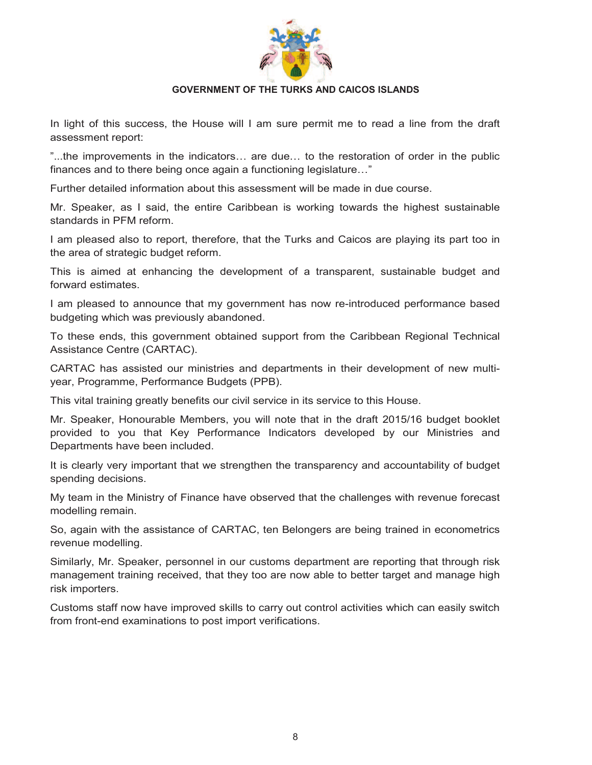

In light of this success, the House will I am sure permit me to read a line from the draft assessment report:

"...the improvements in the indicators… are due… to the restoration of order in the public finances and to there being once again a functioning legislature…"

Further detailed information about this assessment will be made in due course.

Mr. Speaker, as I said, the entire Caribbean is working towards the highest sustainable standards in PFM reform.

I am pleased also to report, therefore, that the Turks and Caicos are playing its part too in the area of strategic budget reform.

This is aimed at enhancing the development of a transparent, sustainable budget and forward estimates.

I am pleased to announce that my government has now re-introduced performance based budgeting which was previously abandoned.

To these ends, this government obtained support from the Caribbean Regional Technical Assistance Centre (CARTAC).

CARTAC has assisted our ministries and departments in their development of new multiyear, Programme, Performance Budgets (PPB).

This vital training greatly benefits our civil service in its service to this House.

Mr. Speaker, Honourable Members, you will note that in the draft 2015/16 budget booklet provided to you that Key Performance Indicators developed by our Ministries and Departments have been included.

It is clearly very important that we strengthen the transparency and accountability of budget spending decisions.

My team in the Ministry of Finance have observed that the challenges with revenue forecast modelling remain.

So, again with the assistance of CARTAC, ten Belongers are being trained in econometrics revenue modelling.

Similarly, Mr. Speaker, personnel in our customs department are reporting that through risk management training received, that they too are now able to better target and manage high risk importers.

Customs staff now have improved skills to carry out control activities which can easily switch from front-end examinations to post import verifications.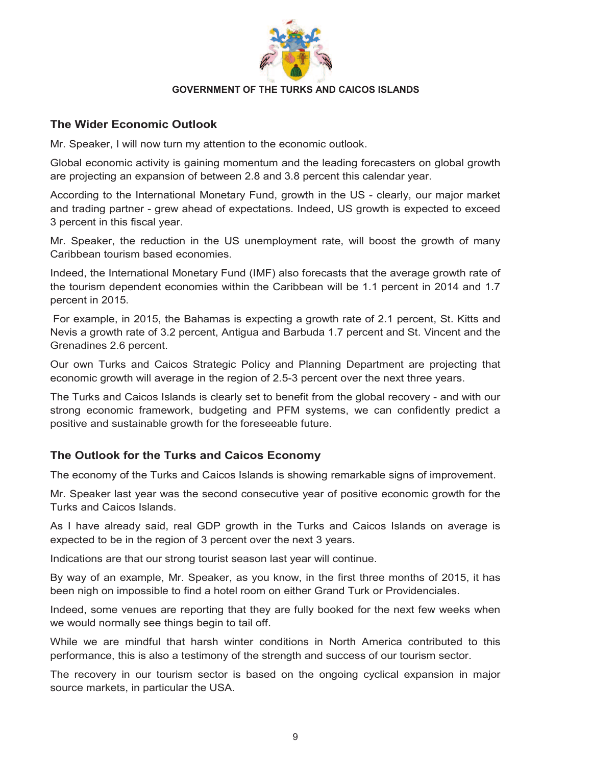

# **The Wider Economic Outlook**

Mr. Speaker, I will now turn my attention to the economic outlook.

Global economic activity is gaining momentum and the leading forecasters on global growth are projecting an expansion of between 2.8 and 3.8 percent this calendar year.

According to the International Monetary Fund, growth in the US - clearly, our major market and trading partner - grew ahead of expectations. Indeed, US growth is expected to exceed 3 percent in this fiscal year.

Mr. Speaker, the reduction in the US unemployment rate, will boost the growth of many Caribbean tourism based economies.

Indeed, the International Monetary Fund (IMF) also forecasts that the average growth rate of the tourism dependent economies within the Caribbean will be 1.1 percent in 2014 and 1.7 percent in 2015.

 For example, in 2015, the Bahamas is expecting a growth rate of 2.1 percent, St. Kitts and Nevis a growth rate of 3.2 percent, Antigua and Barbuda 1.7 percent and St. Vincent and the Grenadines 2.6 percent.

Our own Turks and Caicos Strategic Policy and Planning Department are projecting that economic growth will average in the region of 2.5-3 percent over the next three years.

The Turks and Caicos Islands is clearly set to benefit from the global recovery - and with our strong economic framework, budgeting and PFM systems, we can confidently predict a positive and sustainable growth for the foreseeable future.

# **The Outlook for the Turks and Caicos Economy**

The economy of the Turks and Caicos Islands is showing remarkable signs of improvement.

Mr. Speaker last year was the second consecutive year of positive economic growth for the Turks and Caicos Islands.

As I have already said, real GDP growth in the Turks and Caicos Islands on average is expected to be in the region of 3 percent over the next 3 years.

Indications are that our strong tourist season last year will continue.

By way of an example, Mr. Speaker, as you know, in the first three months of 2015, it has been nigh on impossible to find a hotel room on either Grand Turk or Providenciales.

Indeed, some venues are reporting that they are fully booked for the next few weeks when we would normally see things begin to tail off.

While we are mindful that harsh winter conditions in North America contributed to this performance, this is also a testimony of the strength and success of our tourism sector.

The recovery in our tourism sector is based on the ongoing cyclical expansion in major source markets, in particular the USA.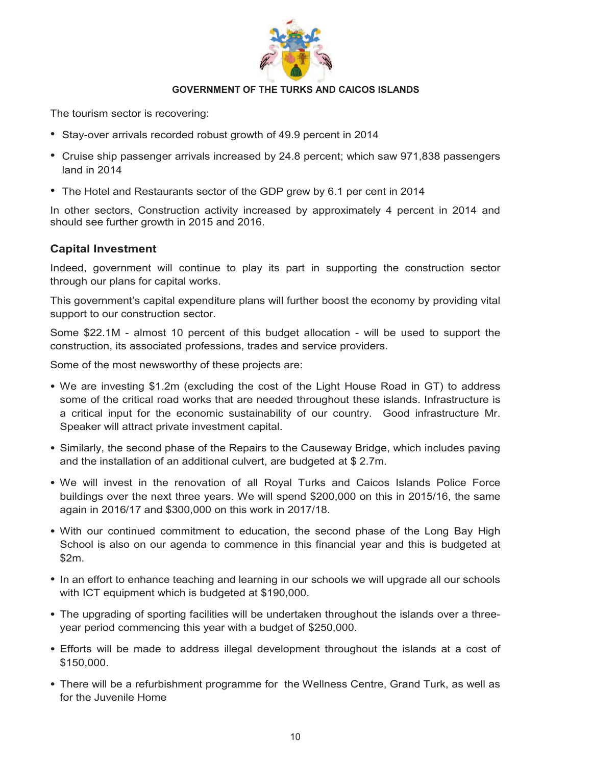

The tourism sector is recovering:

- Stay-over arrivals recorded robust growth of 49.9 percent in 2014
- Cruise ship passenger arrivals increased by 24.8 percent; which saw 971,838 passengers land in 2014
- The Hotel and Restaurants sector of the GDP grew by 6.1 per cent in 2014

In other sectors, Construction activity increased by approximately 4 percent in 2014 and should see further growth in 2015 and 2016.

# **Capital Investment**

Indeed, government will continue to play its part in supporting the construction sector through our plans for capital works.

This government's capital expenditure plans will further boost the economy by providing vital support to our construction sector.

Some \$22.1M - almost 10 percent of this budget allocation - will be used to support the construction, its associated professions, trades and service providers.

Some of the most newsworthy of these projects are:

- We are investing \$1.2m (excluding the cost of the Light House Road in GT) to address some of the critical road works that are needed throughout these islands. Infrastructure is a critical input for the economic sustainability of our country. Good infrastructure Mr. Speaker will attract private investment capital.
- Similarly, the second phase of the Repairs to the Causeway Bridge, which includes paving and the installation of an additional culvert, are budgeted at \$ 2.7m.
- We will invest in the renovation of all Royal Turks and Caicos Islands Police Force buildings over the next three years. We will spend \$200,000 on this in 2015/16, the same again in 2016/17 and \$300,000 on this work in 2017/18.
- With our continued commitment to education, the second phase of the Long Bay High School is also on our agenda to commence in this financial year and this is budgeted at \$2m.
- In an effort to enhance teaching and learning in our schools we will upgrade all our schools with ICT equipment which is budgeted at \$190,000.
- The upgrading of sporting facilities will be undertaken throughout the islands over a threeyear period commencing this year with a budget of \$250,000.
- Efforts will be made to address illegal development throughout the islands at a cost of \$150,000.
- There will be a refurbishment programme for the Wellness Centre, Grand Turk, as well as for the Juvenile Home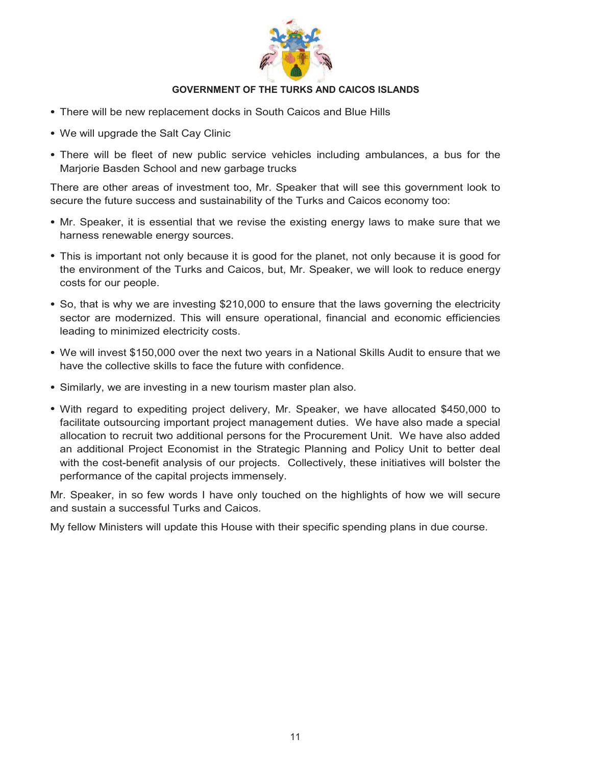

- There will be new replacement docks in South Caicos and Blue Hills
- We will upgrade the Salt Cay Clinic
- There will be fleet of new public service vehicles including ambulances, a bus for the Marjorie Basden School and new garbage trucks

There are other areas of investment too, Mr. Speaker that will see this government look to secure the future success and sustainability of the Turks and Caicos economy too:

- Mr. Speaker, it is essential that we revise the existing energy laws to make sure that we harness renewable energy sources.
- This is important not only because it is good for the planet, not only because it is good for the environment of the Turks and Caicos, but, Mr. Speaker, we will look to reduce energy costs for our people.
- So, that is why we are investing \$210,000 to ensure that the laws governing the electricity sector are modernized. This will ensure operational, financial and economic efficiencies leading to minimized electricity costs.
- We will invest \$150,000 over the next two years in a National Skills Audit to ensure that we have the collective skills to face the future with confidence.
- Similarly, we are investing in a new tourism master plan also.
- With regard to expediting project delivery, Mr. Speaker, we have allocated \$450,000 to facilitate outsourcing important project management duties. We have also made a special allocation to recruit two additional persons for the Procurement Unit. We have also added an additional Project Economist in the Strategic Planning and Policy Unit to better deal with the cost-benefit analysis of our projects. Collectively, these initiatives will bolster the performance of the capital projects immensely.

Mr. Speaker, in so few words I have only touched on the highlights of how we will secure and sustain a successful Turks and Caicos.

My fellow Ministers will update this House with their specific spending plans in due course.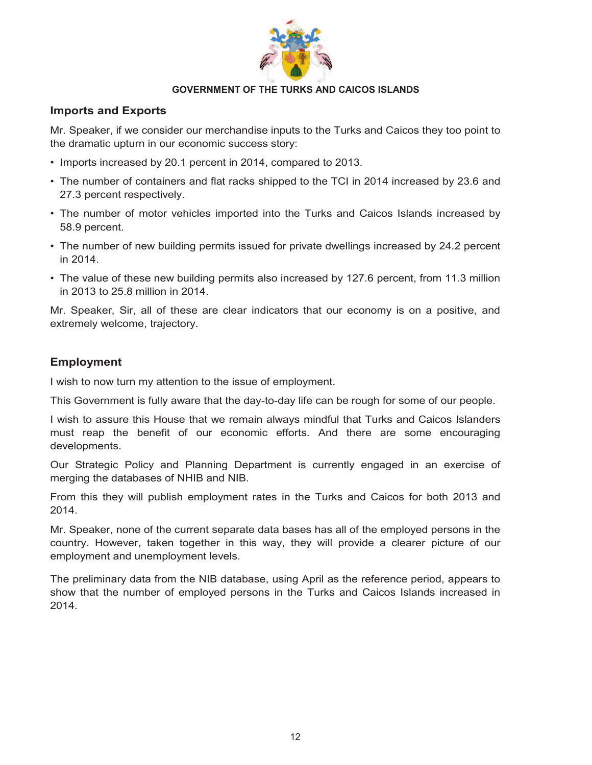

#### **Imports and Exports**

Mr. Speaker, if we consider our merchandise inputs to the Turks and Caicos they too point to the dramatic upturn in our economic success story:

- Imports increased by 20.1 percent in 2014, compared to 2013.
- The number of containers and flat racks shipped to the TCI in 2014 increased by 23.6 and 27.3 percent respectively.
- The number of motor vehicles imported into the Turks and Caicos Islands increased by 58.9 percent.
- The number of new building permits issued for private dwellings increased by 24.2 percent in 2014.
- The value of these new building permits also increased by 127.6 percent, from 11.3 million in 2013 to 25.8 million in 2014.

Mr. Speaker, Sir, all of these are clear indicators that our economy is on a positive, and extremely welcome, trajectory.

# **Employment**

I wish to now turn my attention to the issue of employment.

This Government is fully aware that the day-to-day life can be rough for some of our people.

I wish to assure this House that we remain always mindful that Turks and Caicos Islanders must reap the benefit of our economic efforts. And there are some encouraging developments.

Our Strategic Policy and Planning Department is currently engaged in an exercise of merging the databases of NHIB and NIB.

From this they will publish employment rates in the Turks and Caicos for both 2013 and 2014.

Mr. Speaker, none of the current separate data bases has all of the employed persons in the country. However, taken together in this way, they will provide a clearer picture of our employment and unemployment levels.

The preliminary data from the NIB database, using April as the reference period, appears to show that the number of employed persons in the Turks and Caicos Islands increased in 2014.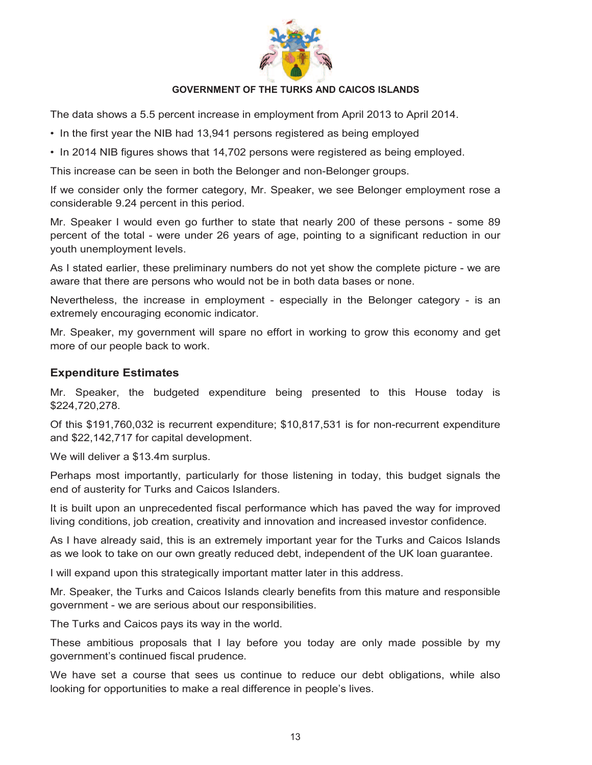

The data shows a 5.5 percent increase in employment from April 2013 to April 2014.

- In the first year the NIB had 13,941 persons registered as being employed
- In 2014 NIB figures shows that 14,702 persons were registered as being employed.

This increase can be seen in both the Belonger and non-Belonger groups.

If we consider only the former category, Mr. Speaker, we see Belonger employment rose a considerable 9.24 percent in this period.

Mr. Speaker I would even go further to state that nearly 200 of these persons - some 89 percent of the total - were under 26 years of age, pointing to a significant reduction in our youth unemployment levels.

As I stated earlier, these preliminary numbers do not yet show the complete picture - we are aware that there are persons who would not be in both data bases or none.

Nevertheless, the increase in employment - especially in the Belonger category - is an extremely encouraging economic indicator.

Mr. Speaker, my government will spare no effort in working to grow this economy and get more of our people back to work.

# **Expenditure Estimates**

Mr. Speaker, the budgeted expenditure being presented to this House today is \$224,720,278.

Of this \$191,760,032 is recurrent expenditure; \$10,817,531 is for non-recurrent expenditure and \$22,142,717 for capital development.

We will deliver a \$13.4m surplus.

Perhaps most importantly, particularly for those listening in today, this budget signals the end of austerity for Turks and Caicos Islanders.

It is built upon an unprecedented fiscal performance which has paved the way for improved living conditions, job creation, creativity and innovation and increased investor confidence.

As I have already said, this is an extremely important year for the Turks and Caicos Islands as we look to take on our own greatly reduced debt, independent of the UK loan guarantee.

I will expand upon this strategically important matter later in this address.

Mr. Speaker, the Turks and Caicos Islands clearly benefits from this mature and responsible government - we are serious about our responsibilities.

The Turks and Caicos pays its way in the world.

These ambitious proposals that I lay before you today are only made possible by my government's continued fiscal prudence.

We have set a course that sees us continue to reduce our debt obligations, while also looking for opportunities to make a real difference in people's lives.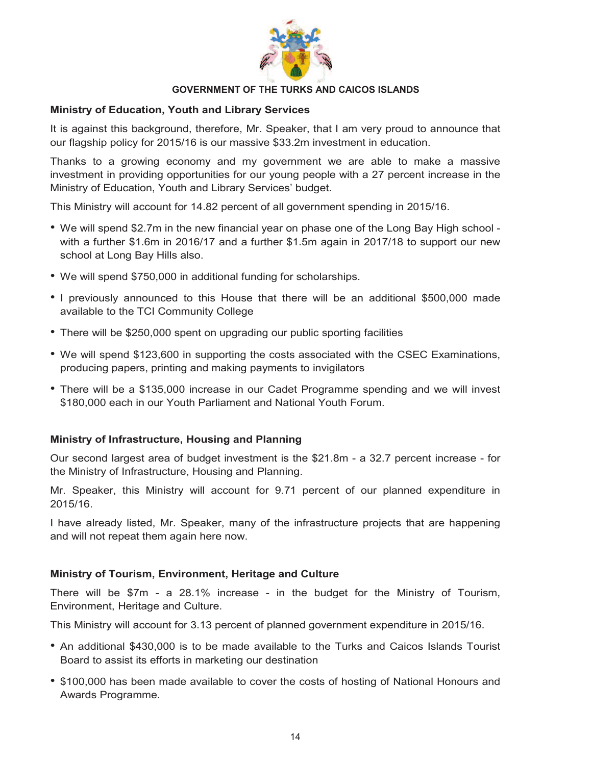

#### **Ministry of Education, Youth and Library Services**

It is against this background, therefore, Mr. Speaker, that I am very proud to announce that our flagship policy for 2015/16 is our massive \$33.2m investment in education.

Thanks to a growing economy and my government we are able to make a massive investment in providing opportunities for our young people with a 27 percent increase in the Ministry of Education, Youth and Library Services' budget.

This Ministry will account for 14.82 percent of all government spending in 2015/16.

- We will spend \$2.7m in the new financial year on phase one of the Long Bay High school with a further \$1.6m in 2016/17 and a further \$1.5m again in 2017/18 to support our new school at Long Bay Hills also.
- We will spend \$750,000 in additional funding for scholarships.
- I previously announced to this House that there will be an additional \$500,000 made available to the TCI Community College
- There will be \$250,000 spent on upgrading our public sporting facilities
- We will spend \$123,600 in supporting the costs associated with the CSEC Examinations, producing papers, printing and making payments to invigilators
- There will be a \$135,000 increase in our Cadet Programme spending and we will invest \$180,000 each in our Youth Parliament and National Youth Forum.

#### **Ministry of Infrastructure, Housing and Planning**

Our second largest area of budget investment is the \$21.8m - a 32.7 percent increase - for the Ministry of Infrastructure, Housing and Planning.

Mr. Speaker, this Ministry will account for 9.71 percent of our planned expenditure in 2015/16.

I have already listed, Mr. Speaker, many of the infrastructure projects that are happening and will not repeat them again here now.

#### **Ministry of Tourism, Environment, Heritage and Culture**

There will be \$7m - a 28.1% increase - in the budget for the Ministry of Tourism, Environment, Heritage and Culture.

This Ministry will account for 3.13 percent of planned government expenditure in 2015/16.

- An additional \$430,000 is to be made available to the Turks and Caicos Islands Tourist Board to assist its efforts in marketing our destination
- \$100,000 has been made available to cover the costs of hosting of National Honours and Awards Programme.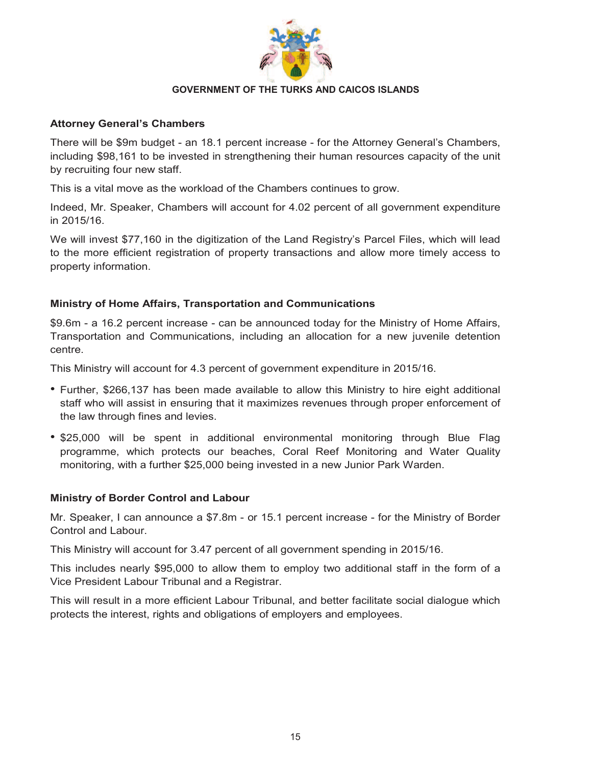

#### **Attorney General's Chambers**

There will be \$9m budget - an 18.1 percent increase - for the Attorney General's Chambers, including \$98,161 to be invested in strengthening their human resources capacity of the unit by recruiting four new staff.

This is a vital move as the workload of the Chambers continues to grow.

Indeed, Mr. Speaker, Chambers will account for 4.02 percent of all government expenditure in 2015/16.

We will invest \$77,160 in the digitization of the Land Registry's Parcel Files, which will lead to the more efficient registration of property transactions and allow more timely access to property information.

# **Ministry of Home Affairs, Transportation and Communications**

\$9.6m - a 16.2 percent increase - can be announced today for the Ministry of Home Affairs, Transportation and Communications, including an allocation for a new juvenile detention centre.

This Ministry will account for 4.3 percent of government expenditure in 2015/16.

- Further, \$266,137 has been made available to allow this Ministry to hire eight additional staff who will assist in ensuring that it maximizes revenues through proper enforcement of the law through fines and levies.
- \$25,000 will be spent in additional environmental monitoring through Blue Flag programme, which protects our beaches, Coral Reef Monitoring and Water Quality monitoring, with a further \$25,000 being invested in a new Junior Park Warden.

#### **Ministry of Border Control and Labour**

Mr. Speaker, I can announce a \$7.8m - or 15.1 percent increase - for the Ministry of Border Control and Labour.

This Ministry will account for 3.47 percent of all government spending in 2015/16.

This includes nearly \$95,000 to allow them to employ two additional staff in the form of a Vice President Labour Tribunal and a Registrar.

This will result in a more efficient Labour Tribunal, and better facilitate social dialogue which protects the interest, rights and obligations of employers and employees.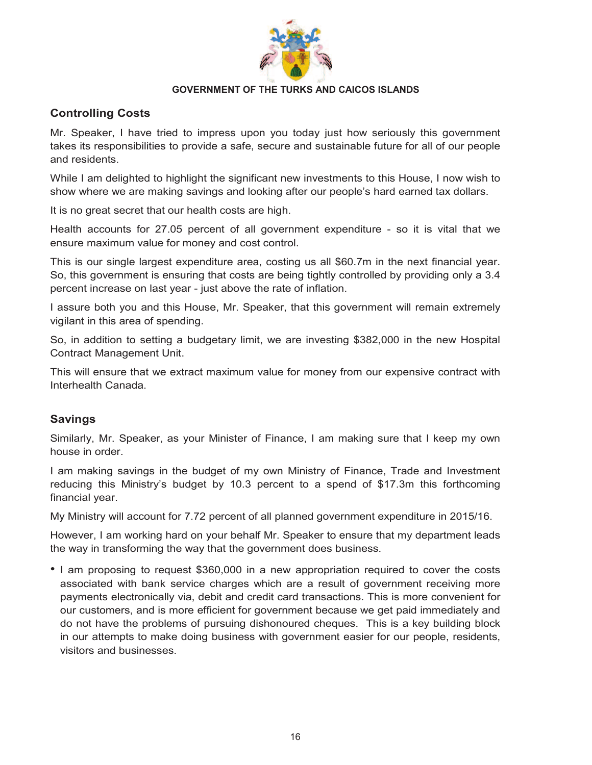

# **Controlling Costs**

Mr. Speaker, I have tried to impress upon you today just how seriously this government takes its responsibilities to provide a safe, secure and sustainable future for all of our people and residents.

While I am delighted to highlight the significant new investments to this House, I now wish to show where we are making savings and looking after our people's hard earned tax dollars.

It is no great secret that our health costs are high.

Health accounts for 27.05 percent of all government expenditure - so it is vital that we ensure maximum value for money and cost control.

This is our single largest expenditure area, costing us all \$60.7m in the next financial year. So, this government is ensuring that costs are being tightly controlled by providing only a 3.4 percent increase on last year - just above the rate of inflation.

I assure both you and this House, Mr. Speaker, that this government will remain extremely vigilant in this area of spending.

So, in addition to setting a budgetary limit, we are investing \$382,000 in the new Hospital Contract Management Unit.

This will ensure that we extract maximum value for money from our expensive contract with Interhealth Canada.

# **Savings**

Similarly, Mr. Speaker, as your Minister of Finance, I am making sure that I keep my own house in order.

I am making savings in the budget of my own Ministry of Finance, Trade and Investment reducing this Ministry's budget by 10.3 percent to a spend of \$17.3m this forthcoming financial year.

My Ministry will account for 7.72 percent of all planned government expenditure in 2015/16.

However, I am working hard on your behalf Mr. Speaker to ensure that my department leads the way in transforming the way that the government does business.

• I am proposing to request \$360,000 in a new appropriation required to cover the costs associated with bank service charges which are a result of government receiving more payments electronically via, debit and credit card transactions. This is more convenient for our customers, and is more efficient for government because we get paid immediately and do not have the problems of pursuing dishonoured cheques. This is a key building block in our attempts to make doing business with government easier for our people, residents, visitors and businesses.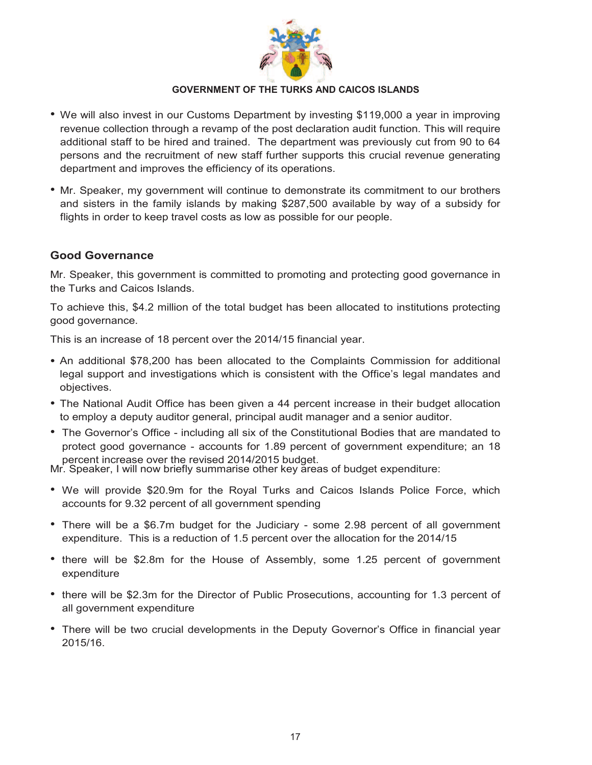

- We will also invest in our Customs Department by investing \$119,000 a year in improving revenue collection through a revamp of the post declaration audit function. This will require additional staff to be hired and trained. The department was previously cut from 90 to 64 persons and the recruitment of new staff further supports this crucial revenue generating department and improves the efficiency of its operations.
- Mr. Speaker, my government will continue to demonstrate its commitment to our brothers and sisters in the family islands by making \$287,500 available by way of a subsidy for flights in order to keep travel costs as low as possible for our people.

# **Good Governance**

Mr. Speaker, this government is committed to promoting and protecting good governance in the Turks and Caicos Islands.

To achieve this, \$4.2 million of the total budget has been allocated to institutions protecting good governance.

This is an increase of 18 percent over the 2014/15 financial year.

- An additional \$78,200 has been allocated to the Complaints Commission for additional legal support and investigations which is consistent with the Office's legal mandates and objectives.
- The National Audit Office has been given a 44 percent increase in their budget allocation to employ a deputy auditor general, principal audit manager and a senior auditor.
- The Governor's Office including all six of the Constitutional Bodies that are mandated to protect good governance - accounts for 1.89 percent of government expenditure; an 18 percent increase over the revised 2014/2015 budget.

Mr. Speaker, I will now briefly summarise other key areas of budget expenditure:

- We will provide \$20.9m for the Royal Turks and Caicos Islands Police Force, which accounts for 9.32 percent of all government spending
- There will be a \$6.7m budget for the Judiciary some 2.98 percent of all government expenditure. This is a reduction of 1.5 percent over the allocation for the 2014/15
- there will be \$2.8m for the House of Assembly, some 1.25 percent of government expenditure
- there will be \$2.3m for the Director of Public Prosecutions, accounting for 1.3 percent of all government expenditure
- There will be two crucial developments in the Deputy Governor's Office in financial year 2015/16.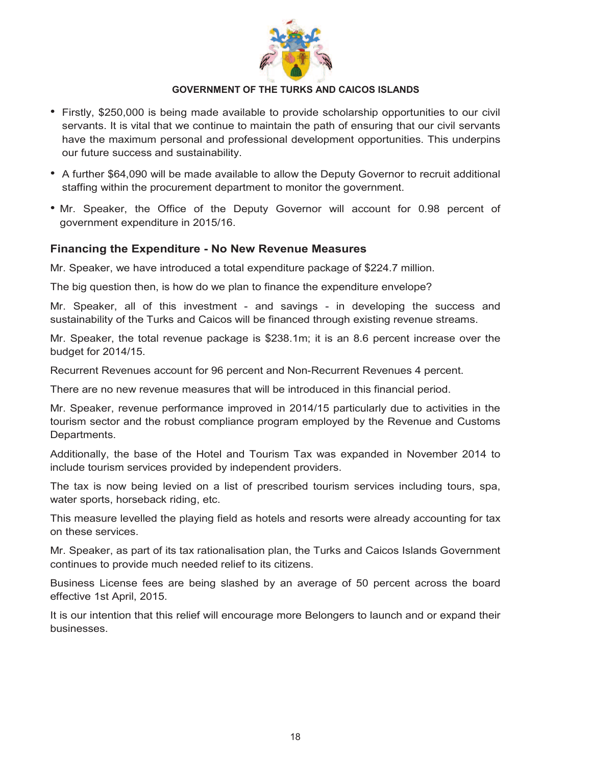

- Firstly, \$250,000 is being made available to provide scholarship opportunities to our civil servants. It is vital that we continue to maintain the path of ensuring that our civil servants have the maximum personal and professional development opportunities. This underpins our future success and sustainability.
- A further \$64,090 will be made available to allow the Deputy Governor to recruit additional staffing within the procurement department to monitor the government.
- Mr. Speaker, the Office of the Deputy Governor will account for 0.98 percent of government expenditure in 2015/16.

# **Financing the Expenditure - No New Revenue Measures**

Mr. Speaker, we have introduced a total expenditure package of \$224.7 million.

The big question then, is how do we plan to finance the expenditure envelope?

Mr. Speaker, all of this investment - and savings - in developing the success and sustainability of the Turks and Caicos will be financed through existing revenue streams.

Mr. Speaker, the total revenue package is \$238.1m; it is an 8.6 percent increase over the budget for 2014/15.

Recurrent Revenues account for 96 percent and Non-Recurrent Revenues 4 percent.

There are no new revenue measures that will be introduced in this financial period.

Mr. Speaker, revenue performance improved in 2014/15 particularly due to activities in the tourism sector and the robust compliance program employed by the Revenue and Customs Departments.

Additionally, the base of the Hotel and Tourism Tax was expanded in November 2014 to include tourism services provided by independent providers.

The tax is now being levied on a list of prescribed tourism services including tours, spa, water sports, horseback riding, etc.

This measure levelled the playing field as hotels and resorts were already accounting for tax on these services.

Mr. Speaker, as part of its tax rationalisation plan, the Turks and Caicos Islands Government continues to provide much needed relief to its citizens.

Business License fees are being slashed by an average of 50 percent across the board effective 1st April, 2015.

It is our intention that this relief will encourage more Belongers to launch and or expand their businesses.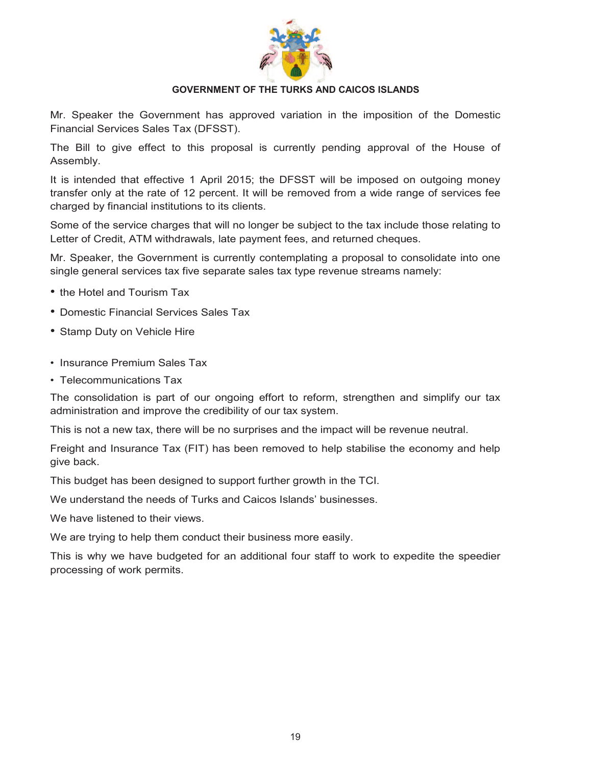

Mr. Speaker the Government has approved variation in the imposition of the Domestic Financial Services Sales Tax (DFSST).

The Bill to give effect to this proposal is currently pending approval of the House of Assembly.

It is intended that effective 1 April 2015; the DFSST will be imposed on outgoing money transfer only at the rate of 12 percent. It will be removed from a wide range of services fee charged by financial institutions to its clients.

Some of the service charges that will no longer be subject to the tax include those relating to Letter of Credit, ATM withdrawals, late payment fees, and returned cheques.

Mr. Speaker, the Government is currently contemplating a proposal to consolidate into one single general services tax five separate sales tax type revenue streams namely:

- the Hotel and Tourism Tax
- Domestic Financial Services Sales Tax
- Stamp Duty on Vehicle Hire
- Insurance Premium Sales Tax
- Telecommunications Tax

The consolidation is part of our ongoing effort to reform, strengthen and simplify our tax administration and improve the credibility of our tax system.

This is not a new tax, there will be no surprises and the impact will be revenue neutral.

Freight and Insurance Tax (FIT) has been removed to help stabilise the economy and help give back.

This budget has been designed to support further growth in the TCI.

We understand the needs of Turks and Caicos Islands' businesses.

We have listened to their views.

We are trying to help them conduct their business more easily.

This is why we have budgeted for an additional four staff to work to expedite the speedier processing of work permits.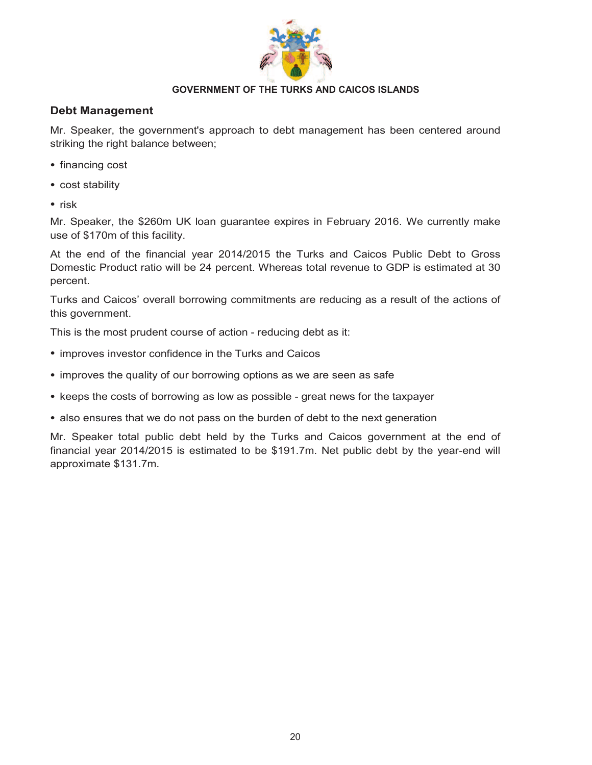

# **Debt Management**

Mr. Speaker, the government's approach to debt management has been centered around striking the right balance between;

- financing cost
- cost stability
- risk

Mr. Speaker, the \$260m UK loan guarantee expires in February 2016. We currently make use of \$170m of this facility.

At the end of the financial year 2014/2015 the Turks and Caicos Public Debt to Gross Domestic Product ratio will be 24 percent. Whereas total revenue to GDP is estimated at 30 percent.

Turks and Caicos' overall borrowing commitments are reducing as a result of the actions of this government.

This is the most prudent course of action - reducing debt as it:

- improves investor confidence in the Turks and Caicos
- improves the quality of our borrowing options as we are seen as safe
- keeps the costs of borrowing as low as possible great news for the taxpayer
- also ensures that we do not pass on the burden of debt to the next generation

Mr. Speaker total public debt held by the Turks and Caicos government at the end of financial year 2014/2015 is estimated to be \$191.7m. Net public debt by the year-end will approximate \$131.7m.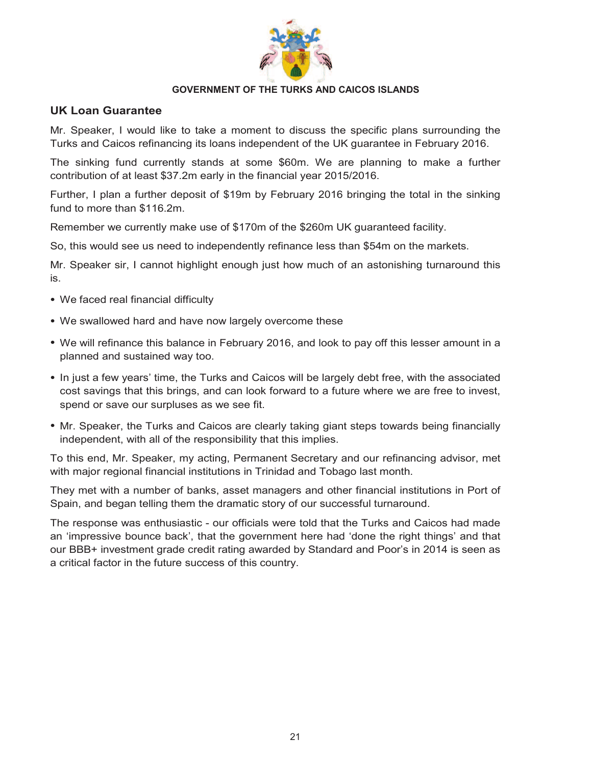

#### **UK Loan Guarantee**

Mr. Speaker, I would like to take a moment to discuss the specific plans surrounding the Turks and Caicos refinancing its loans independent of the UK guarantee in February 2016.

The sinking fund currently stands at some \$60m. We are planning to make a further contribution of at least \$37.2m early in the financial year 2015/2016.

Further, I plan a further deposit of \$19m by February 2016 bringing the total in the sinking fund to more than \$116.2m.

Remember we currently make use of \$170m of the \$260m UK guaranteed facility.

So, this would see us need to independently refinance less than \$54m on the markets.

Mr. Speaker sir, I cannot highlight enough just how much of an astonishing turnaround this is.

- We faced real financial difficulty
- We swallowed hard and have now largely overcome these
- We will refinance this balance in February 2016, and look to pay off this lesser amount in a planned and sustained way too.
- In just a few years' time, the Turks and Caicos will be largely debt free, with the associated cost savings that this brings, and can look forward to a future where we are free to invest, spend or save our surpluses as we see fit.
- Mr. Speaker, the Turks and Caicos are clearly taking giant steps towards being financially independent, with all of the responsibility that this implies.

To this end, Mr. Speaker, my acting, Permanent Secretary and our refinancing advisor, met with major regional financial institutions in Trinidad and Tobago last month.

They met with a number of banks, asset managers and other financial institutions in Port of Spain, and began telling them the dramatic story of our successful turnaround.

The response was enthusiastic - our officials were told that the Turks and Caicos had made an 'impressive bounce back', that the government here had 'done the right things' and that our BBB+ investment grade credit rating awarded by Standard and Poor's in 2014 is seen as a critical factor in the future success of this country.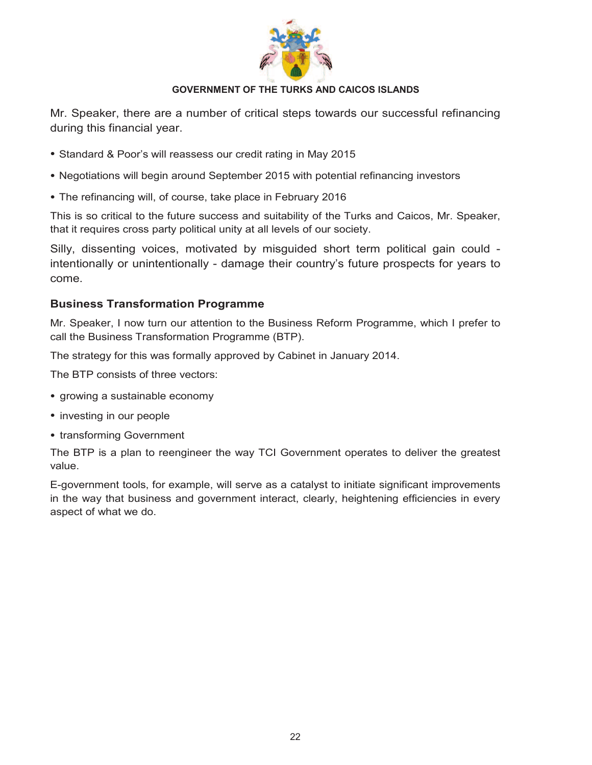

Mr. Speaker, there are a number of critical steps towards our successful refinancing during this financial year.

- Standard & Poor's will reassess our credit rating in May 2015
- Negotiations will begin around September 2015 with potential refinancing investors
- The refinancing will, of course, take place in February 2016

This is so critical to the future success and suitability of the Turks and Caicos, Mr. Speaker, that it requires cross party political unity at all levels of our society.

Silly, dissenting voices, motivated by misguided short term political gain could intentionally or unintentionally - damage their country's future prospects for years to come.

# **Business Transformation Programme**

Mr. Speaker, I now turn our attention to the Business Reform Programme, which I prefer to call the Business Transformation Programme (BTP).

The strategy for this was formally approved by Cabinet in January 2014.

The BTP consists of three vectors:

- growing a sustainable economy
- investing in our people
- transforming Government

The BTP is a plan to reengineer the way TCI Government operates to deliver the greatest value.

E-government tools, for example, will serve as a catalyst to initiate significant improvements in the way that business and government interact, clearly, heightening efficiencies in every aspect of what we do.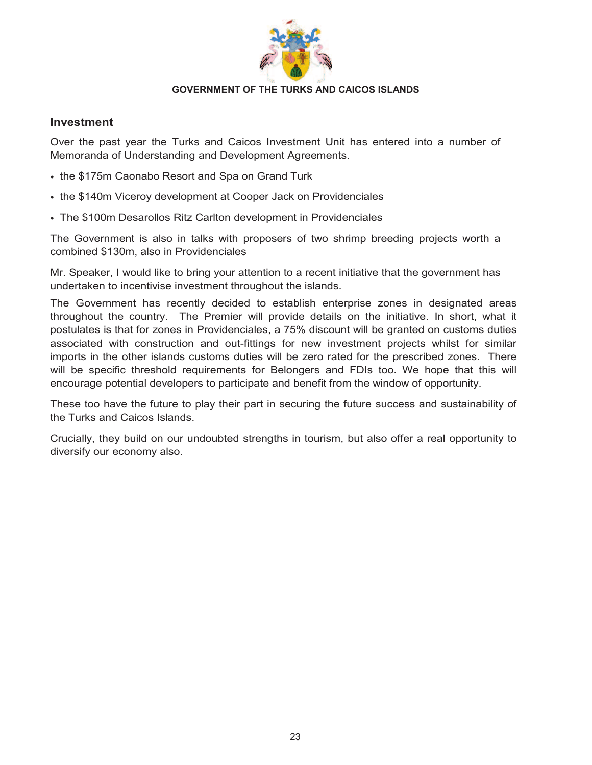

#### **Investment**

Over the past year the Turks and Caicos Investment Unit has entered into a number of Memoranda of Understanding and Development Agreements.

- the \$175m Caonabo Resort and Spa on Grand Turk
- the \$140m Viceroy development at Cooper Jack on Providenciales
- The \$100m Desarollos Ritz Carlton development in Providenciales

The Government is also in talks with proposers of two shrimp breeding projects worth a combined \$130m, also in Providenciales

Mr. Speaker, I would like to bring your attention to a recent initiative that the government has undertaken to incentivise investment throughout the islands.

The Government has recently decided to establish enterprise zones in designated areas throughout the country. The Premier will provide details on the initiative. In short, what it postulates is that for zones in Providenciales, a 75% discount will be granted on customs duties associated with construction and out-fittings for new investment projects whilst for similar imports in the other islands customs duties will be zero rated for the prescribed zones. There will be specific threshold requirements for Belongers and FDIs too. We hope that this will encourage potential developers to participate and benefit from the window of opportunity.

These too have the future to play their part in securing the future success and sustainability of the Turks and Caicos Islands.

Crucially, they build on our undoubted strengths in tourism, but also offer a real opportunity to diversify our economy also.